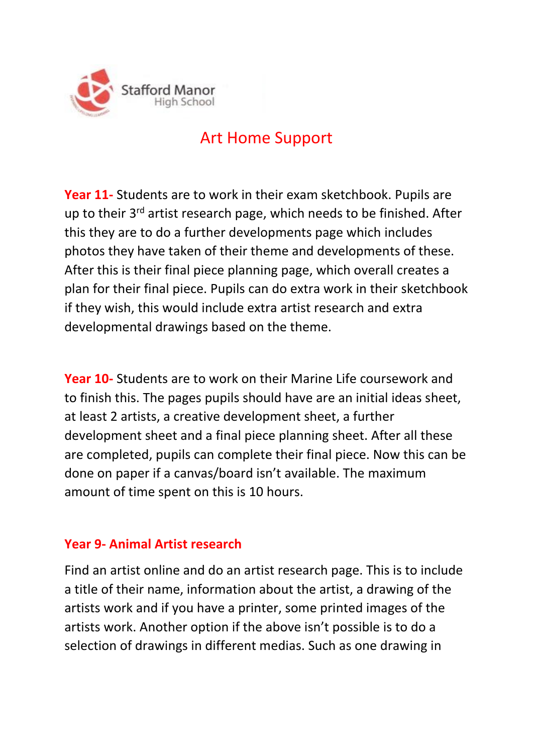

# Art Home Support

**Year 11-** Students are to work in their exam sketchbook. Pupils are up to their 3<sup>rd</sup> artist research page, which needs to be finished. After this they are to do a further developments page which includes photos they have taken of their theme and developments of these. After this is their final piece planning page, which overall creates a plan for their final piece. Pupils can do extra work in their sketchbook if they wish, this would include extra artist research and extra developmental drawings based on the theme.

**Year 10-** Students are to work on their Marine Life coursework and to finish this. The pages pupils should have are an initial ideas sheet, at least 2 artists, a creative development sheet, a further development sheet and a final piece planning sheet. After all these are completed, pupils can complete their final piece. Now this can be done on paper if a canvas/board isn't available. The maximum amount of time spent on this is 10 hours.

### **Year 9- Animal Artist research**

Find an artist online and do an artist research page. This is to include a title of their name, information about the artist, a drawing of the artists work and if you have a printer, some printed images of the artists work. Another option if the above isn't possible is to do a selection of drawings in different medias. Such as one drawing in